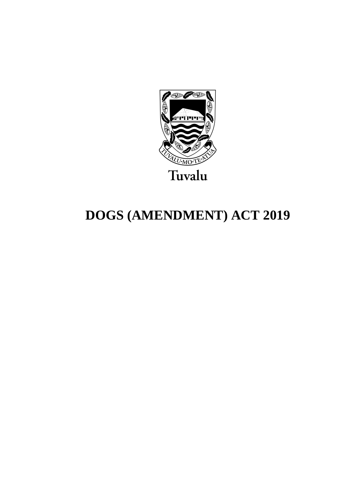

# **DOGS (AMENDMENT) ACT 2019**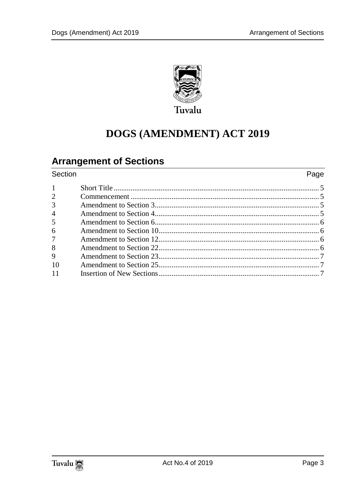

## **DOGS (AMENDMENT) ACT 2019**

### **Arrangement of Sections**

 $\mathbf{1}$  $\overline{2}$ 

3

 $\overline{4}$ 

5 6

 $\overline{7}$ 

8

 $\mathbf{Q}$ 

#### Section Page  $10<sup>1</sup>$  $11$

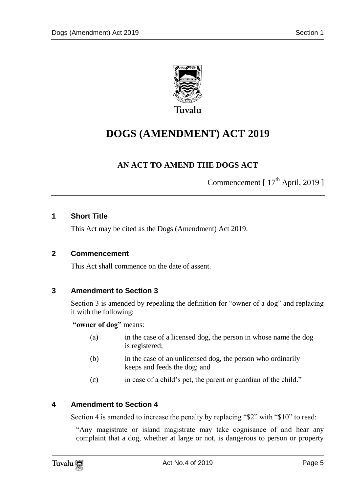

### **DOGS (AMENDMENT) ACT 2019**

### **AN ACT TO AMEND THE DOGS ACT**

Commencement  $[17<sup>th</sup> April, 2019]$ 

#### <span id="page-4-0"></span>**1 Short Title**

This Act may be cited as the Dogs (Amendment) Act 2019.

#### <span id="page-4-1"></span>**2 Commencement**

This Act shall commence on the date of assent.

#### <span id="page-4-2"></span>**3 Amendment to Section 3**

Section 3 is amended by repealing the definition for "owner of a dog" and replacing it with the following:

**"owner of dog"** means:

- (a) in the case of a licensed dog, the person in whose name the dog is registered;
- (b) in the case of an unlicensed dog, the person who ordinarily keeps and feeds the dog; and
- (c) in case of a child"s pet, the parent or guardian of the child."

#### <span id="page-4-3"></span>**4 Amendment to Section 4**

Section 4 is amended to increase the penalty by replacing "\$2" with "\$10" to read:

"Any magistrate or island magistrate may take cognisance of and hear any complaint that a dog, whether at large or not, is dangerous to person or property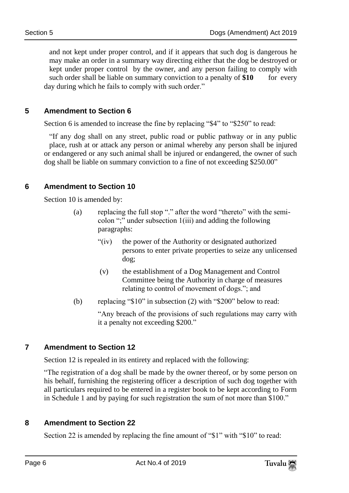and not kept under proper control, and if it appears that such dog is dangerous he may make an order in a summary way directing either that the dog be destroyed or kept under proper control by the owner, and any person failing to comply with such order shall be liable on summary conviction to a penalty of \$10 for every day during which he fails to comply with such order."

#### <span id="page-5-0"></span>**5 Amendment to Section 6**

Section 6 is amended to increase the fine by replacing "\$4" to "\$250" to read:

"If any dog shall on any street, public road or public pathway or in any public place, rush at or attack any person or animal whereby any person shall be injured or endangered or any such animal shall be injured or endangered, the owner of such dog shall be liable on summary conviction to a fine of not exceeding \$250.00"

#### <span id="page-5-1"></span>**6 Amendment to Section 10**

Section 10 is amended by:

- (a) replacing the full stop "." after the word "thereto" with the semicolon ";" under subsection 1(iii) and adding the following paragraphs:
	- "(iv) the power of the Authority or designated authorized persons to enter private properties to seize any unlicensed dog;
	- (v) the establishment of a Dog Management and Control Committee being the Authority in charge of measures relating to control of movement of dogs."; and
- (b) replacing "\$10" in subsection (2) with "\$200" below to read:

"Any breach of the provisions of such regulations may carry with it a penalty not exceeding \$200."

#### <span id="page-5-2"></span>**7 Amendment to Section 12**

Section 12 is repealed in its entirety and replaced with the following:

"The registration of a dog shall be made by the owner thereof, or by some person on his behalf, furnishing the registering officer a description of such dog together with all particulars required to be entered in a register book to be kept according to Form in Schedule 1 and by paying for such registration the sum of not more than \$100."

#### <span id="page-5-3"></span>**8 Amendment to Section 22**

Section 22 is amended by replacing the fine amount of "\$1" with "\$10" to read: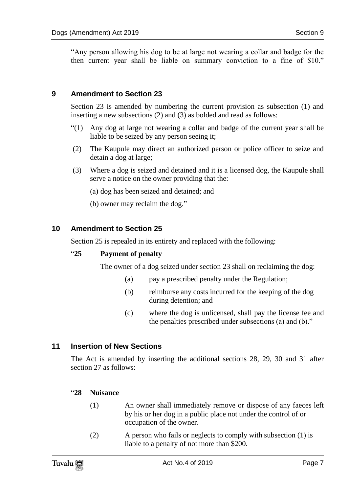"Any person allowing his dog to be at large not wearing a collar and badge for the then current year shall be liable on summary conviction to a fine of \$10."

#### <span id="page-6-0"></span>**9 Amendment to Section 23**

Section 23 is amended by numbering the current provision as subsection (1) and inserting a new subsections (2) and (3) as bolded and read as follows:

- "(1) Any dog at large not wearing a collar and badge of the current year shall be liable to be seized by any person seeing it;
- (2) The Kaupule may direct an authorized person or police officer to seize and detain a dog at large;
- (3) Where a dog is seized and detained and it is a licensed dog, the Kaupule shall serve a notice on the owner providing that the:

(a) dog has been seized and detained; and

(b) owner may reclaim the dog."

#### <span id="page-6-1"></span>**10 Amendment to Section 25**

Section 25 is repealed in its entirety and replaced with the following:

#### "**25 Payment of penalty**

The owner of a dog seized under section 23 shall on reclaiming the dog:

- (a) pay a prescribed penalty under the Regulation;
- (b) reimburse any costs incurred for the keeping of the dog during detention; and
- (c) where the dog is unlicensed, shall pay the license fee and the penalties prescribed under subsections (a) and (b)."

#### <span id="page-6-2"></span>**11 Insertion of New Sections**

The Act is amended by inserting the additional sections 28, 29, 30 and 31 after section 27 as follows:

#### "**28 Nuisance**

- (1) An owner shall immediately remove or dispose of any faeces left by his or her dog in a public place not under the control of or occupation of the owner.
- (2) A person who fails or neglects to comply with subsection (1) is liable to a penalty of not more than \$200.